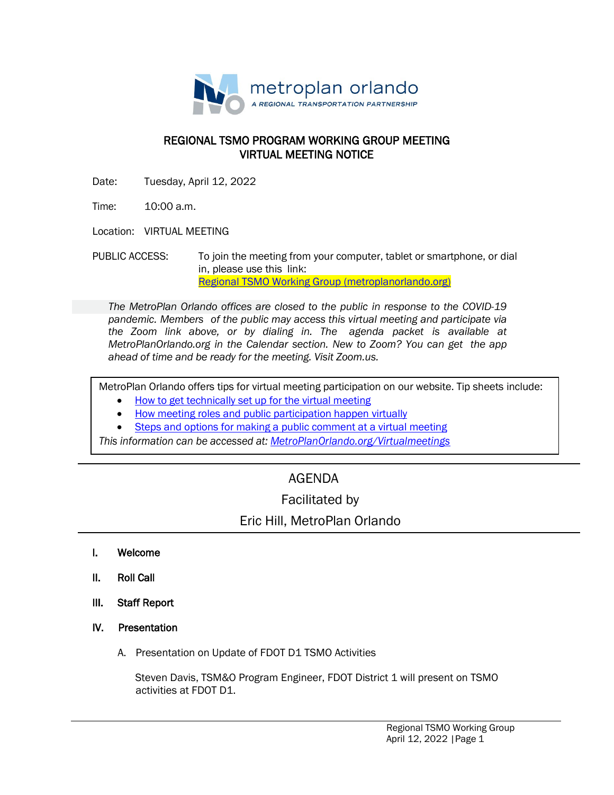

### REGIONAL TSMO PROGRAM WORKING GROUP MEETING VIRTUAL MEETING NOTICE

Date: Tuesday, April 12, 2022

Time: 10:00 a.m.

Location: VIRTUAL MEETING

PUBLIC ACCESS: To join the meeting from your computer, tablet or smartphone, or dial in, please use this link: [Regional TSMO Working Group \(metroplanorlando.org\)](https://metroplanorlando.org/meetings/regional-tsmo-working-group-03-08-22/)

*The MetroPlan Orlando offices are closed to the public in response to the COVID-19 pandemic. Members of the public may access this virtual meeting and participate via the Zoom link above, or by dialing in. The agenda packet is available at MetroPlanOrlando.org in the Calendar section. New to Zoom? You can get the app ahead of time and be ready for the meeting. Visit Zoom.us.*

MetroPlan Orlando offers tips for virtual meeting participation on our website. Tip sheets include:

- How to [get technically set](https://metroplanorlando.org/wp-content/uploads/VM_TipsSheet_SetUp_Public-FINAL.pdf) up for the virtual meeting
- [How meeting roles](https://metroplanorlando.org/wp-content/uploads/VM_TipsSheet_MeetingRolesAndPublicComment-FINAL.pdf) and public participation happen virtually
- Steps and options for [making a public](https://metroplanorlando.org/wp-content/uploads/Virtual-Meetings-Public-Comment-Procedures-FINAL.pdf) comment at a virtual meeting

*This information can be accessed at: [MetroPlanOrlando.org/Virtualmeetings](https://metroplanorlando.org/board-committees/virtual-meetings/)*

# AGENDA

## Facilitated by

## Eric Hill, MetroPlan Orlando

- I. Welcome
- II. Roll Call
- III. Staff Report
- IV. Presentation
	- A. Presentation on Update of FDOT D1 TSMO Activities

 Steven Davis, TSM&O Program Engineer, FDOT District 1 will present on TSMO activities at FDOT D1.